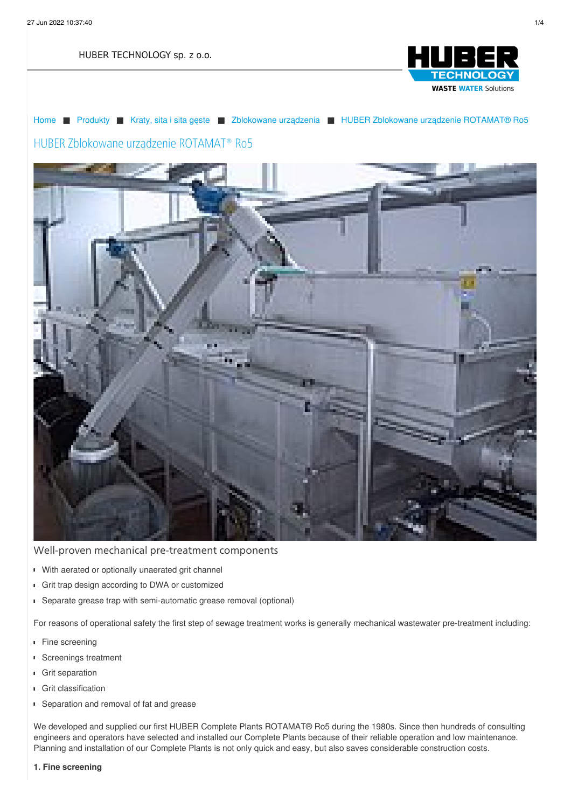HUBER TECHNOLOGY sp. z o.o.



# [Home](/pl.html) ■ [Produkty](/pl/produkty.html) ■ [Kraty,](/pl/produkty/kraty-sita-i-sita-geste.html) sita i sita gęste ■ [Zblokowane](/pl/produkty/kraty-sita-i-sita-geste/zblokowane-urzadzenia.html) urządzenia ■ HUBER Zblokowane urządzenie [ROTAMAT®](/pl/produkty/kraty-sita-i-sita-geste/zblokowane-urzadzenia/huber-zblokowane-urzadzenie-rotamatr-ro5.html) Ro5 HUBER Zblokowane urządzenie ROTAMAT® Ro5

W[ell-proven](/pl/stopka-redakcyjna.html) mechanical pre-treatment components

- With aerated or optionally unaerated grit channel
- Grit trap design according to DWA or customized
- Separate grease trap with semi-automatic grease removal (optional)

For reasons of operational safety the first step of sewage treatment works is generally mechanical wastewater pre-treatment including:

- **Fine screening**
- Screenings treatment  $\blacksquare$
- **Grit separation**
- Grit classification  $\blacksquare$
- **Separation and removal of fat and grease**

We developed and supplied our first HUBER Complete Plants ROTAMAT® Ro5 during the 1980s. Since then hundreds of consulting engineers and operators have selected and installed our Complete Plants because of their reliable operation and low maintenance. Planning and installation of our Complete Plants is not only quick and easy, but also saves considerable construction costs.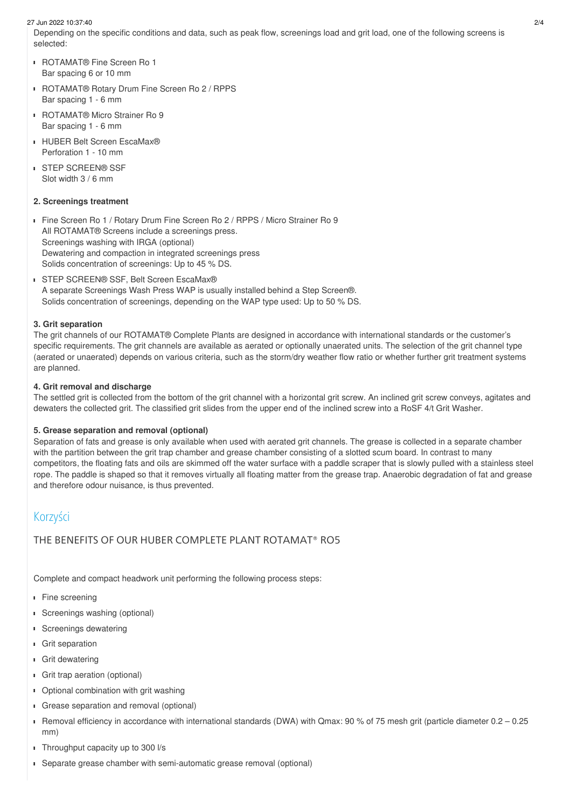#### 27 Jun 2022 10:37:40 2/4

Depending on the specific conditions and data, such as peak flow, screenings load and grit load, one of the following screens is selected:

- ROTAMAT<sup>®</sup> Fine Screen Ro 1 Bar spacing 6 or 10 mm
- ROTAMAT® Rotary Drum Fine Screen Ro 2 / RPPS Bar spacing 1 - 6 mm
- ROTAMAT® Micro Strainer Ro 9 Bar spacing 1 - 6 mm
- HUBER Belt Screen EscaMax<sup>®</sup> Perforation 1 - 10 mm
- STEP SCREEN® SSE  $\mathbf{u}$  . Slot width 3 / 6 mm

## **2. Screenings treatment**

- Fine Screen Ro 1 / Rotary Drum Fine Screen Ro 2 / RPPS / Micro Strainer Ro 9 All ROTAMAT® Screens include a screenings press. Screenings washing with IRGA (optional) Dewatering and compaction in integrated screenings press Solids concentration of screenings: Up to 45 % DS.
- STEP SCREEN® SSF, Belt Screen EscaMax® A separate Screenings Wash Press WAP is usually installed behind a Step Screen®. Solids concentration of screenings, depending on the WAP type used: Up to 50 % DS.

## **3. Grit separation**

The grit channels of our ROTAMAT® Complete Plants are designed in accordance with international standards or the customer's specific requirements. The grit channels are available as aerated or optionally unaerated units. The selection of the grit channel type (aerated or unaerated) depends on various criteria, such as the storm/dry weather flow ratio or whether further grit treatment systems are planned.

## **4. Grit removal and discharge**

The settled grit is collected from the bottom of the grit channel with a horizontal grit screw. An inclined grit screw conveys, agitates and dewaters the collected grit. The classified grit slides from the upper end of the inclined screw into a RoSF 4/t Grit Washer.

## **5. Grease separation and removal (optional)**

Separation of fats and grease is only available when used with aerated grit channels. The grease is collected in a separate chamber with the partition between the grit trap chamber and grease chamber consisting of a slotted scum board. In contrast to many competitors, the floating fats and oils are skimmed off the water surface with a paddle scraper that is slowly pulled with a stainless steel rope. The paddle is shaped so that it removes virtually all floating matter from the grease trap. Anaerobic degradation of fat and grease and therefore odour nuisance, is thus prevented.

## Korzyści

## THE BENEFITS OF OUR HUBER COMPLETE PLANT ROTAMAT® RO5

Complete and compact headwork unit performing the following process steps:

- **Fine screening**
- Screenings washing (optional)
- **Screenings dewatering**
- **Grit separation**
- Grit dewatering
- Grit trap aeration (optional)
- **Optional combination with grit washing**
- Grease separation and removal (optional)
- Removal efficiency in accordance with international standards (DWA) with Qmax: 90 % of 75 mesh grit (particle diameter 0.2 0.25 mm)
- Throughput capacity up to 300 l/s
- Separate grease chamber with semi-automatic grease removal (optional)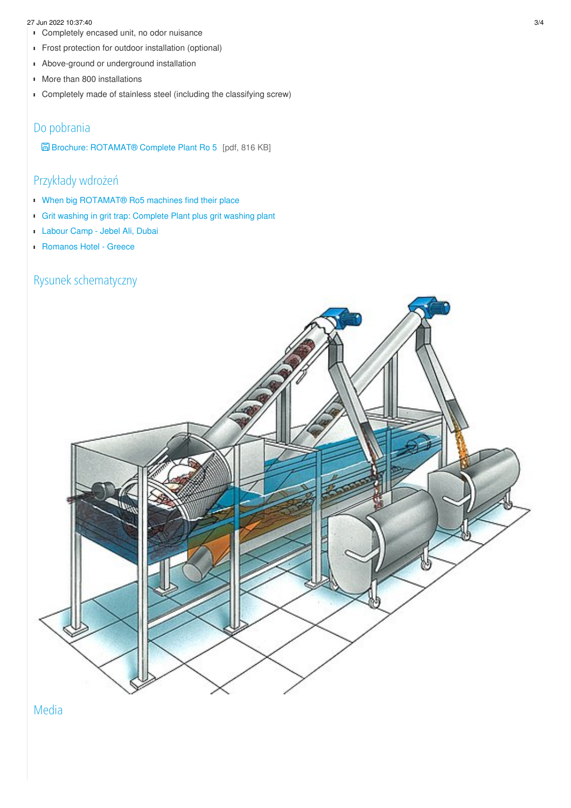#### 27 Jun 2022 10:37:40 3/4

- **Completely encased unit, no odor nuisance**
- **Frost protection for outdoor installation (optional)**
- Above-ground or underground installation
- **More than 800 installations**
- Completely made of stainless steel (including the classifying screw)

# Do pobrania

Brochure: [ROTAMAT®](/fileadmin/01_products/01_screens/01_rotamat_screens/04_ro5/pro_ro5_en.pdf) Complete Plant Ro 5 [pdf, 816 KB]

# Przykłady wdrożeń

- When big ROTAMAT<sup>®</sup> Ro5 machines find their place
- Grit washing in grit trap: [Complete](/pl/huber-report/ablage-berichte/grit-separation-and-treatment/grit-washing-in-grit-trap-complete-plant-plus-grit-washing-plant.html) Plant plus grit washing plant
- [Labour](/pl/huber-report/ablage-berichte/greenbuildings/labour-camp-jebel-ali-dubai.html) Camp Jebel Ali, Dubai
- **[Romanos](/pl/huber-report/ablage-berichte/greenbuildings/romanos-hotel-greece.html) Hotel Greece**

# Rysunek schematyczny



Media